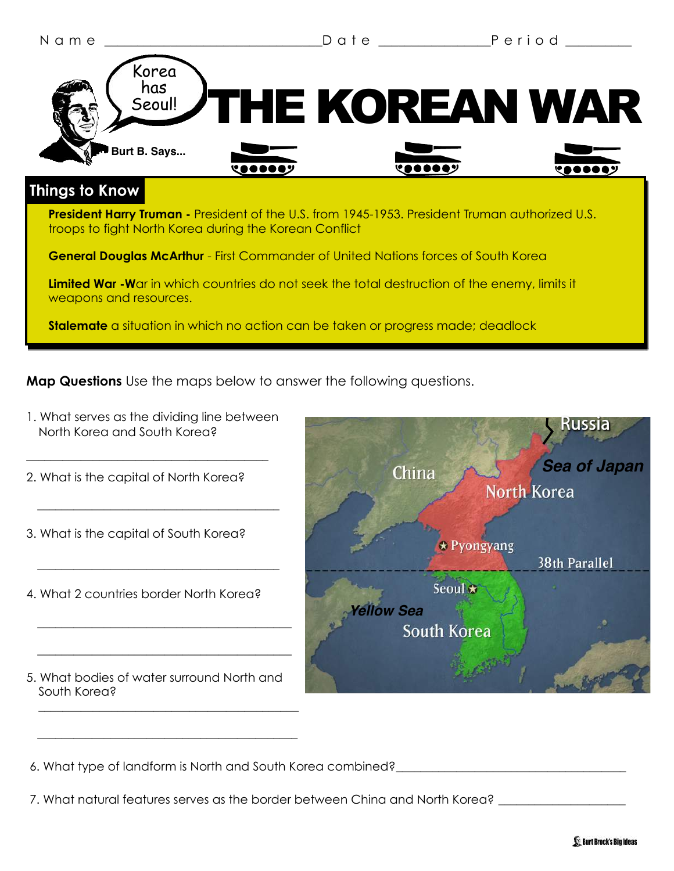

**Map Questions** Use the maps below to answer the following questions.

North Korea and South Korea? \_\_\_\_\_\_\_\_\_\_\_\_\_\_\_\_\_\_\_\_\_\_\_\_\_\_\_\_\_\_\_\_\_\_\_\_\_\_\_\_ 2. What is the capital of North Korea?  $\mathcal{L}=\underbrace{\mathcal{L}=\mathcal{L}=\mathcal{L}=\mathcal{L}=\mathcal{L}=\mathcal{L}=\mathcal{L}=\mathcal{L}=\mathcal{L}=\mathcal{L}=\mathcal{L}=\mathcal{L}=\mathcal{L}=\mathcal{L}=\mathcal{L}=\mathcal{L}=\mathcal{L}=\mathcal{L}=\mathcal{L}=\mathcal{L}=\mathcal{L}=\mathcal{L}=\mathcal{L}=\mathcal{L}=\mathcal{L}=\mathcal{L}=\mathcal{L}=\mathcal{L}=\mathcal{L}=\mathcal{L}=\mathcal{L}=\mathcal{L}=\mathcal{L}=\mathcal{L}=\mathcal{L}=\$ 3. What is the capital of South Korea?  $\mathcal{L}=\underbrace{\mathcal{L}=\mathcal{L}=\mathcal{L}=\mathcal{L}=\mathcal{L}=\mathcal{L}=\mathcal{L}=\mathcal{L}=\mathcal{L}=\mathcal{L}=\mathcal{L}=\mathcal{L}=\mathcal{L}=\mathcal{L}=\mathcal{L}=\mathcal{L}=\mathcal{L}=\mathcal{L}=\mathcal{L}=\mathcal{L}=\mathcal{L}=\mathcal{L}=\mathcal{L}=\mathcal{L}=\mathcal{L}=\mathcal{L}=\mathcal{L}=\mathcal{L}=\mathcal{L}=\mathcal{L}=\mathcal{L}=\mathcal{L}=\mathcal{L}=\mathcal{L}=\mathcal{L}=\$ 4. What 2 countries border North Korea?  $\overline{\phantom{a}}$  ,  $\overline{\phantom{a}}$  ,  $\overline{\phantom{a}}$  ,  $\overline{\phantom{a}}$  ,  $\overline{\phantom{a}}$  ,  $\overline{\phantom{a}}$  ,  $\overline{\phantom{a}}$  ,  $\overline{\phantom{a}}$  ,  $\overline{\phantom{a}}$  ,  $\overline{\phantom{a}}$  ,  $\overline{\phantom{a}}$  ,  $\overline{\phantom{a}}$  ,  $\overline{\phantom{a}}$  ,  $\overline{\phantom{a}}$  ,  $\overline{\phantom{a}}$  ,  $\overline{\phantom{a}}$  $\overline{\phantom{a}}$  ,  $\overline{\phantom{a}}$  ,  $\overline{\phantom{a}}$  ,  $\overline{\phantom{a}}$  ,  $\overline{\phantom{a}}$  ,  $\overline{\phantom{a}}$  ,  $\overline{\phantom{a}}$  ,  $\overline{\phantom{a}}$  ,  $\overline{\phantom{a}}$  ,  $\overline{\phantom{a}}$  ,  $\overline{\phantom{a}}$  ,  $\overline{\phantom{a}}$  ,  $\overline{\phantom{a}}$  ,  $\overline{\phantom{a}}$  ,  $\overline{\phantom{a}}$  ,  $\overline{\phantom{a}}$ 5. What bodies of water surround North and South Korea? \_\_\_\_\_\_\_\_\_\_\_\_\_\_\_\_\_\_\_\_\_\_\_\_\_\_\_\_\_\_\_\_\_\_\_\_\_\_\_\_\_\_\_



6. What type of landform is North and South Korea combined? \_\_\_\_\_\_\_\_\_\_\_\_\_\_\_\_\_\_\_\_\_

 $\frac{1}{2}$  ,  $\frac{1}{2}$  ,  $\frac{1}{2}$  ,  $\frac{1}{2}$  ,  $\frac{1}{2}$  ,  $\frac{1}{2}$  ,  $\frac{1}{2}$  ,  $\frac{1}{2}$  ,  $\frac{1}{2}$  ,  $\frac{1}{2}$  ,  $\frac{1}{2}$  ,  $\frac{1}{2}$  ,  $\frac{1}{2}$  ,  $\frac{1}{2}$  ,  $\frac{1}{2}$  ,  $\frac{1}{2}$  ,  $\frac{1}{2}$  ,  $\frac{1}{2}$  ,  $\frac{1$ 

7. What natural features serves as the border between China and North Korea?